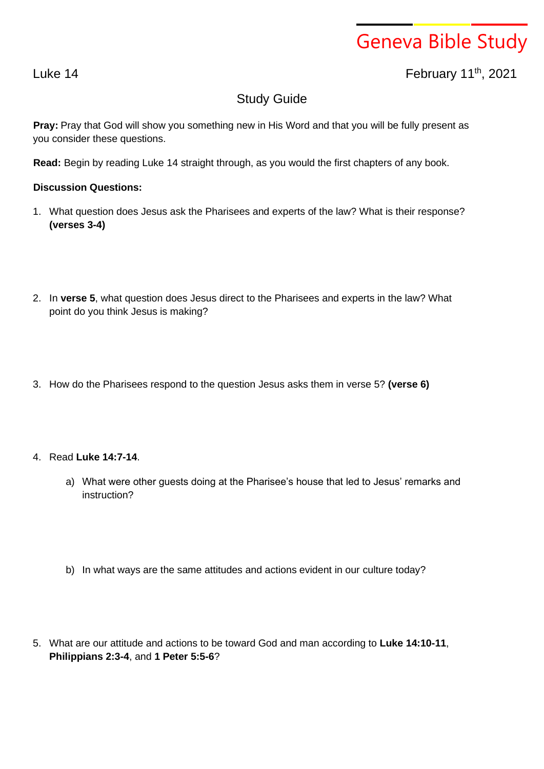# Geneva Bible Study

## Luke 14 February 11th , 2021

## Study Guide

**Pray:** Pray that God will show you something new in His Word and that you will be fully present as you consider these questions.

**Read:** Begin by reading Luke 14 straight through, as you would the first chapters of any book.

#### **Discussion Questions:**

- 1. What question does Jesus ask the Pharisees and experts of the law? What is their response? **(verses 3-4)**
- 2. In **verse 5**, what question does Jesus direct to the Pharisees and experts in the law? What point do you think Jesus is making?
- 3. How do the Pharisees respond to the question Jesus asks them in verse 5? **(verse 6)**

#### 4. Read **Luke 14:7-14**.

- a) What were other guests doing at the Pharisee's house that led to Jesus' remarks and instruction?
- b) In what ways are the same attitudes and actions evident in our culture today?
- 5. What are our attitude and actions to be toward God and man according to **Luke 14:10-11**, **Philippians 2:3-4**, and **1 Peter 5:5-6**?